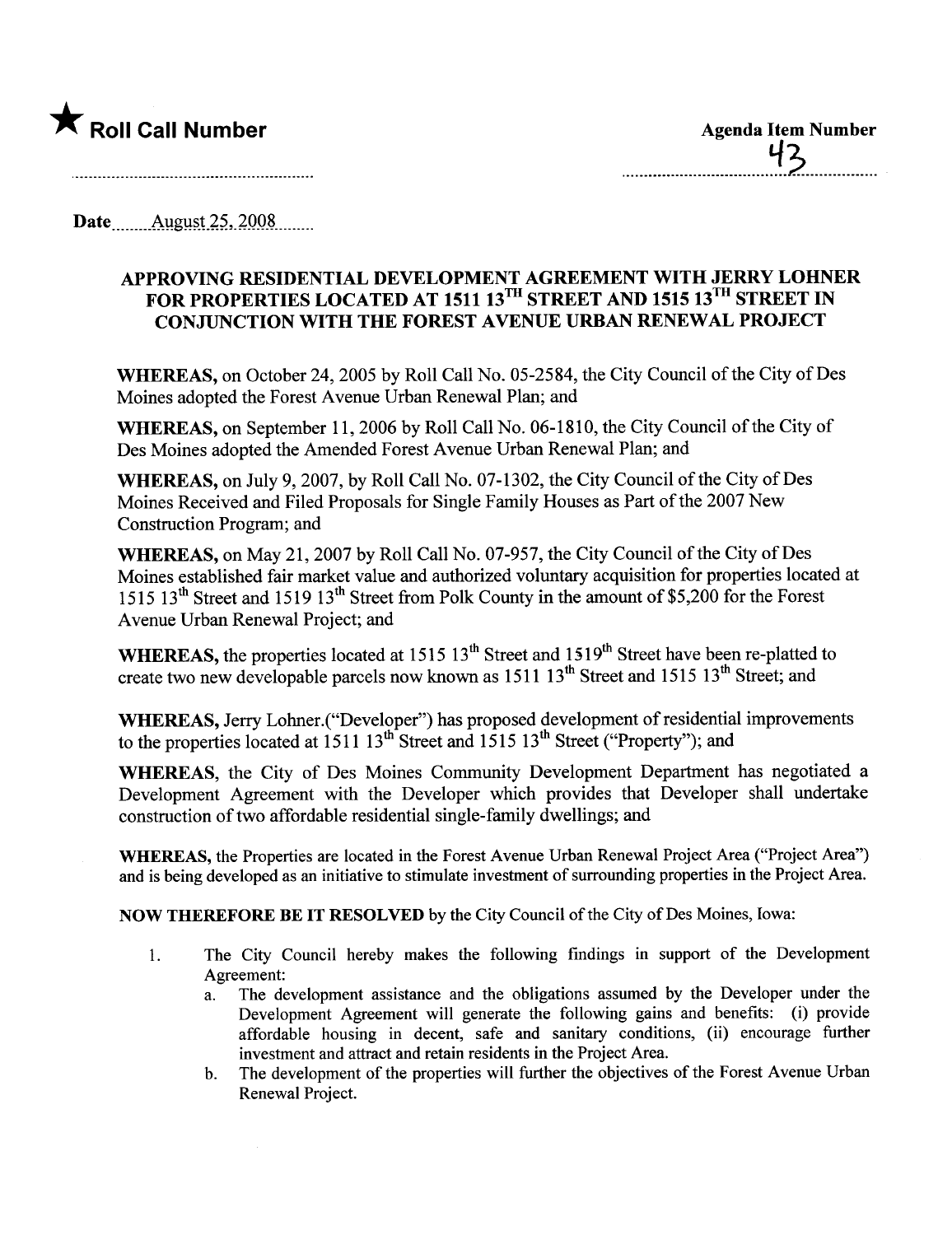

Date August 25, 2008

## APPROVING RESIDENTIAL DEVELOPMENT AGREEMENT WITH JERRY LOHNER FOR PROPERTIES LOCATED AT 1511 13<sup>TH</sup> STREET AND 1515 13<sup>TH</sup> STREET IN CONJUNCTION WITH THE FOREST AVENUE URBAN RENEWAL PROJECT

WHEREAS, on October 24,2005 by Roll Call No. 05-2584, the City Council of the City of Des Moines adopted the Forest Avenue Urban Renewal Plan; and

WHEREAS, on September II, 2006 by Roll Call No. 06-1810, the City Council of the City of Des Moines adopted the Amended Forest Avenue Urban Renewal Plan; and

WHEREAS, on July 9,2007, by Roll Call No. 07-1302, the City Council of the City of Des Moines Received and Filed Proposals for Single Family Houses as Part of the 2007 New Construction Program; and

WHEREAS, on May 21,2007 by Roll Call No. 07-957, the City Council of the City of Des Moines established fair market value and authorized voluntary acquisition for properties located at 1515 13<sup>th</sup> Street and 1519 13<sup>th</sup> Street from Polk County in the amount of \$5,200 for the Forest Avenue Urban Renewal Project; and

WHEREAS, the properties located at 1515 13<sup>th</sup> Street and 1519<sup>th</sup> Street have been re-platted to create two new developable parcels now known as  $1511\,13^{th}$  Street and  $1515\,13^{th}$  Street; and

WHEREAS, Jerry Lohner.("Developer") has proposed development of residential improvements to the properties located at  $1511\ 13<sup>th</sup>$  Street and  $1515\ 13<sup>th</sup>$  Street ("Property"); and

WHEREAS, the City of Des Moines Community Development Department has negotiated a Development Agreement with the Developer which provides that Developer shall undertake construction of two affordable residential single-family dwellngs; and

WHEREAS, the Properties are located in the Forest Avenue Urban Renewal Project Area ("Project Area") and is being developed as an initiative to stimulate investment of surrounding properties in the Project Area.

NOW THEREFORE BE IT RESOLVED by the City Council of the City of Des Moines, Iowa:

- 1. The City Council hereby makes the following findings in support of the Development Agreement:
	- a. The development assistance and the obligations assumed by the Developer under the Development Agreement will generate the following gains and benefits: (i) provide affordable housing in decent, safe and sanitary conditions, (ii) encourage further investment and attract and retain residents in the Project Area.
	- b. The development of the properties will further the objectives of the Forest Avenue Urban Renewal Project.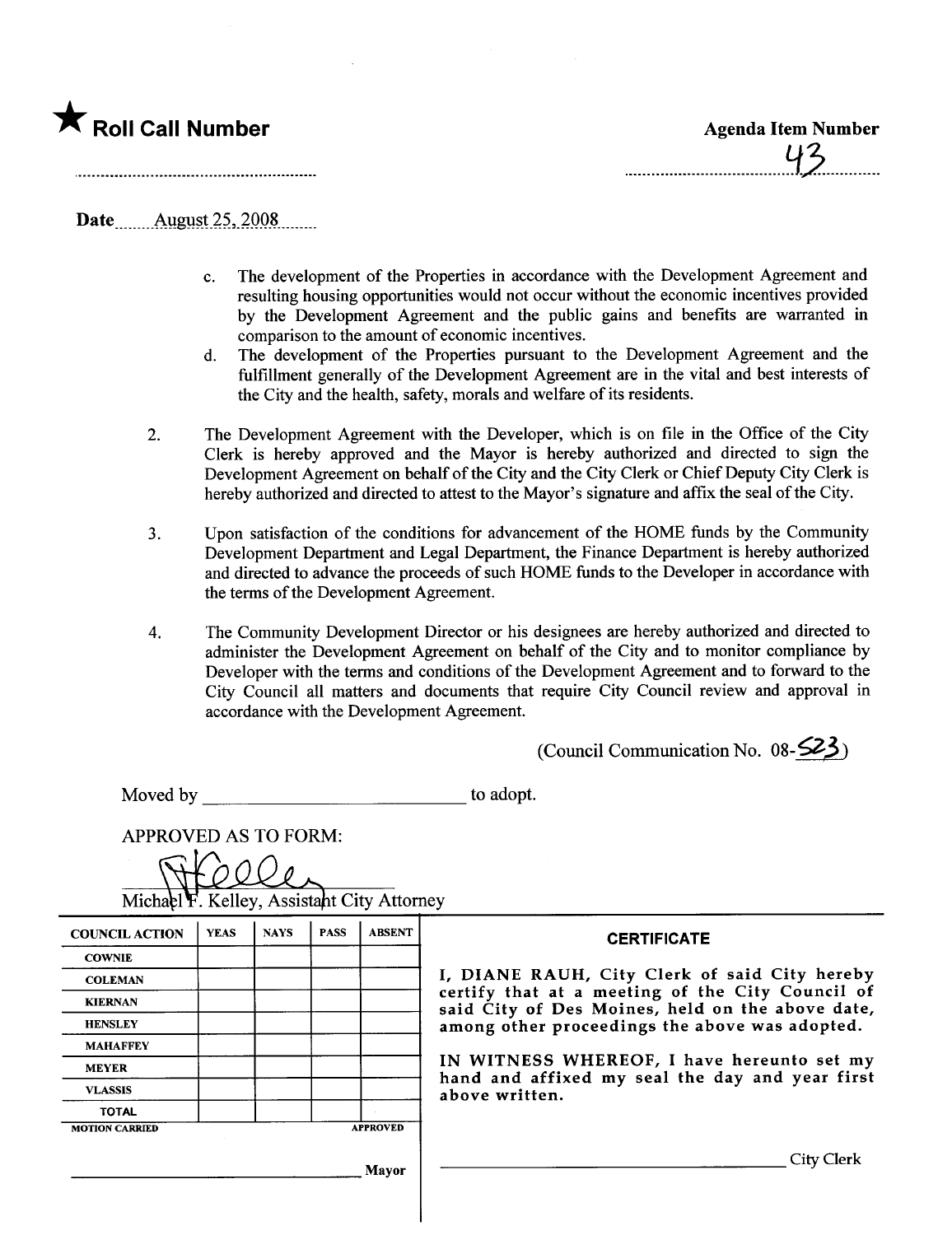

Date August 25, 2008

- c. The development of the Properties in accordance with the Development Agreement and resulting housing opportnities would not occur without the economic incentives provided by the Development Agreement and the public gains and benefits are warranted in comparison to the amount of economic incentives.
- d. The development of the Properties pursuant to the Development Agreement and the fulfillment generally of the Development Agreement are in the vital and best interests of the City and the health, safety, morals and welfare of its residents.
- 2. The Development Agreement with the Developer, which is on file in the Office of the City Clerk is hereby approved and the Mayor is hereby authorized and directed to sign the Development Agreement on behalf of the City and the City Clerk or Chief Deputy City Clerk is hereby authorized and directed to attest to the Mayor's signature and affix the seal of the City.
- 3. Upon satisfaction of the conditions for advancement of the HOME funds by the Community Development Department and Legal Deparment, the Finance Department is hereby authorized and directed to advance the proceeds of such HOME funds to the Developer in accordance with the terms of the Development Agreement.
- 4. The Community Development Director or his designees are hereby authorized and directed to administer the Development Agreement on behalf of the City and to monitor compliance by Developer with the terms and conditions of the Development Agreement and to forward to the City Council all matters and documents that require City Council review and approval in accordance with the Development Agreement.

(Council Communication No.  $08-523$ )

Moved by to adopt.

APPROVED AS TO FORM:

Kelley, Assistant City Attorney

| <b>COUNCIL ACTION</b> | <b>YEAS</b> | <b>NAYS</b> | <b>PASS</b> | <b>ABSENT</b>   | <b>CERTIFICATE</b>                                                                                                                                                                                                                                                                                                         |
|-----------------------|-------------|-------------|-------------|-----------------|----------------------------------------------------------------------------------------------------------------------------------------------------------------------------------------------------------------------------------------------------------------------------------------------------------------------------|
| <b>COWNIE</b>         |             |             |             |                 |                                                                                                                                                                                                                                                                                                                            |
| <b>COLEMAN</b>        |             |             |             |                 | I, DIANE RAUH, City Clerk of said City hereby<br>certify that at a meeting of the City Council of<br>said City of Des Moines, held on the above date,<br>among other proceedings the above was adopted.<br>IN WITNESS WHEREOF, I have hereunto set my<br>hand and affixed my seal the day and year first<br>above written. |
| <b>KIERNAN</b>        |             |             |             |                 |                                                                                                                                                                                                                                                                                                                            |
| <b>HENSLEY</b>        |             |             |             |                 |                                                                                                                                                                                                                                                                                                                            |
| <b>MAHAFFEY</b>       |             |             |             |                 |                                                                                                                                                                                                                                                                                                                            |
| <b>MEYER</b>          |             |             |             |                 |                                                                                                                                                                                                                                                                                                                            |
| <b>VLASSIS</b>        |             |             |             |                 |                                                                                                                                                                                                                                                                                                                            |
| <b>TOTAL</b>          |             |             |             |                 |                                                                                                                                                                                                                                                                                                                            |
| <b>MOTION CARRIED</b> |             |             |             | <b>APPROVED</b> |                                                                                                                                                                                                                                                                                                                            |
|                       |             |             |             | Mavor           | City Clerk                                                                                                                                                                                                                                                                                                                 |